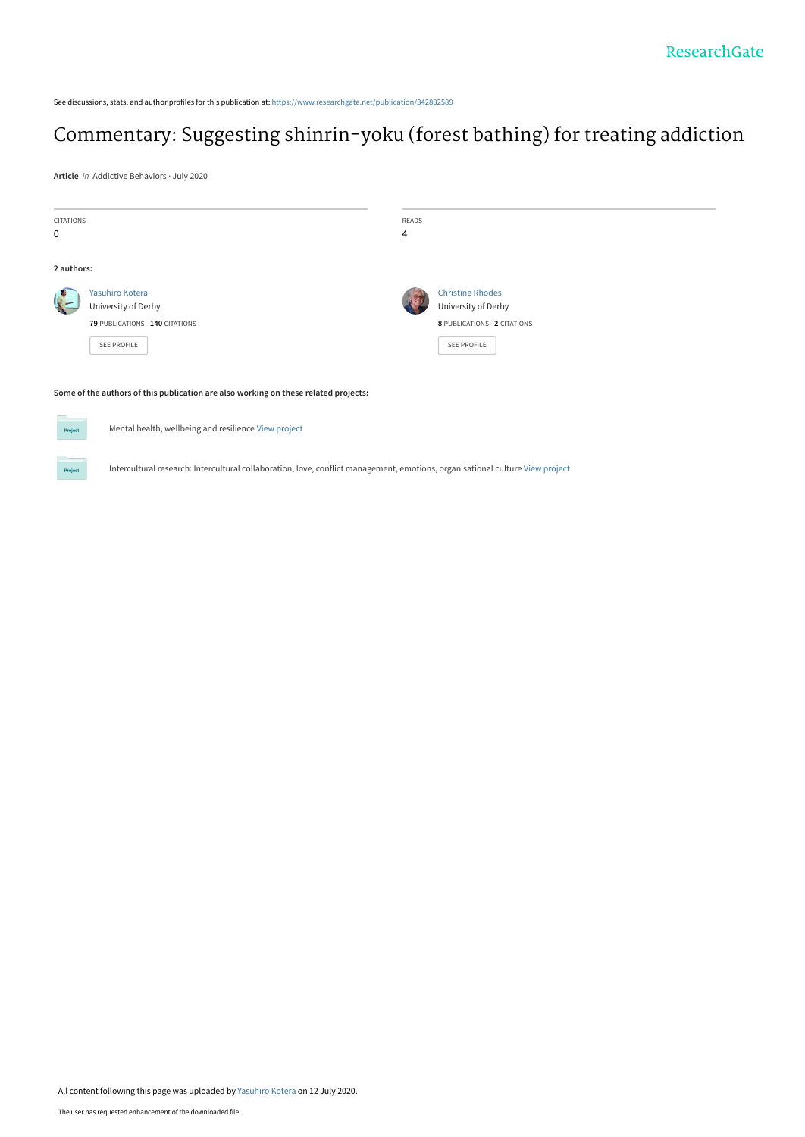See discussions, stats, and author profiles for this publication at: [https://www.researchgate.net/publication/342882589](https://www.researchgate.net/publication/342882589_Commentary_Suggesting_shinrin-yoku_forest_bathing_for_treating_addiction?enrichId=rgreq-17c74f396f3a5ae8c60a84d593bc964d-XXX&enrichSource=Y292ZXJQYWdlOzM0Mjg4MjU4OTtBUzo5MTI1NDQ1NzEwNzI1MTJAMTU5NDU3ODk4ODUyOQ%3D%3D&el=1_x_2&_esc=publicationCoverPdf)

# [Commentary: Suggesting shinrin-yoku \(forest bathing\) for treating addiction](https://www.researchgate.net/publication/342882589_Commentary_Suggesting_shinrin-yoku_forest_bathing_for_treating_addiction?enrichId=rgreq-17c74f396f3a5ae8c60a84d593bc964d-XXX&enrichSource=Y292ZXJQYWdlOzM0Mjg4MjU4OTtBUzo5MTI1NDQ1NzEwNzI1MTJAMTU5NDU3ODk4ODUyOQ%3D%3D&el=1_x_3&_esc=publicationCoverPdf)

**Article** in Addictive Behaviors · July 2020

Project

| <b>CITATIONS</b>                                                                    |                               | READS |                            |
|-------------------------------------------------------------------------------------|-------------------------------|-------|----------------------------|
| $\mathbf 0$                                                                         |                               | 4     |                            |
|                                                                                     |                               |       |                            |
| 2 authors:                                                                          |                               |       |                            |
|                                                                                     | Yasuhiro Kotera               |       | <b>Christine Rhodes</b>    |
|                                                                                     | University of Derby           |       | University of Derby        |
|                                                                                     | 79 PUBLICATIONS 140 CITATIONS |       | 8 PUBLICATIONS 2 CITATIONS |
|                                                                                     | <b>SEE PROFILE</b>            |       | SEE PROFILE                |
|                                                                                     |                               |       |                            |
|                                                                                     |                               |       |                            |
| Some of the authors of this publication are also working on these related projects: |                               |       |                            |
|                                                                                     |                               |       |                            |
| Mental health, wellbeing and resilience View project<br>Project                     |                               |       |                            |
|                                                                                     |                               |       |                            |

Intercultural research: Intercultural collaboration, love, conflict management, emotions, organisational culture [View project](https://www.researchgate.net/project/Intercultural-research-Intercultural-collaboration-love-conflict-management-emotions-organisational-culture?enrichId=rgreq-17c74f396f3a5ae8c60a84d593bc964d-XXX&enrichSource=Y292ZXJQYWdlOzM0Mjg4MjU4OTtBUzo5MTI1NDQ1NzEwNzI1MTJAMTU5NDU3ODk4ODUyOQ%3D%3D&el=1_x_9&_esc=publicationCoverPdf)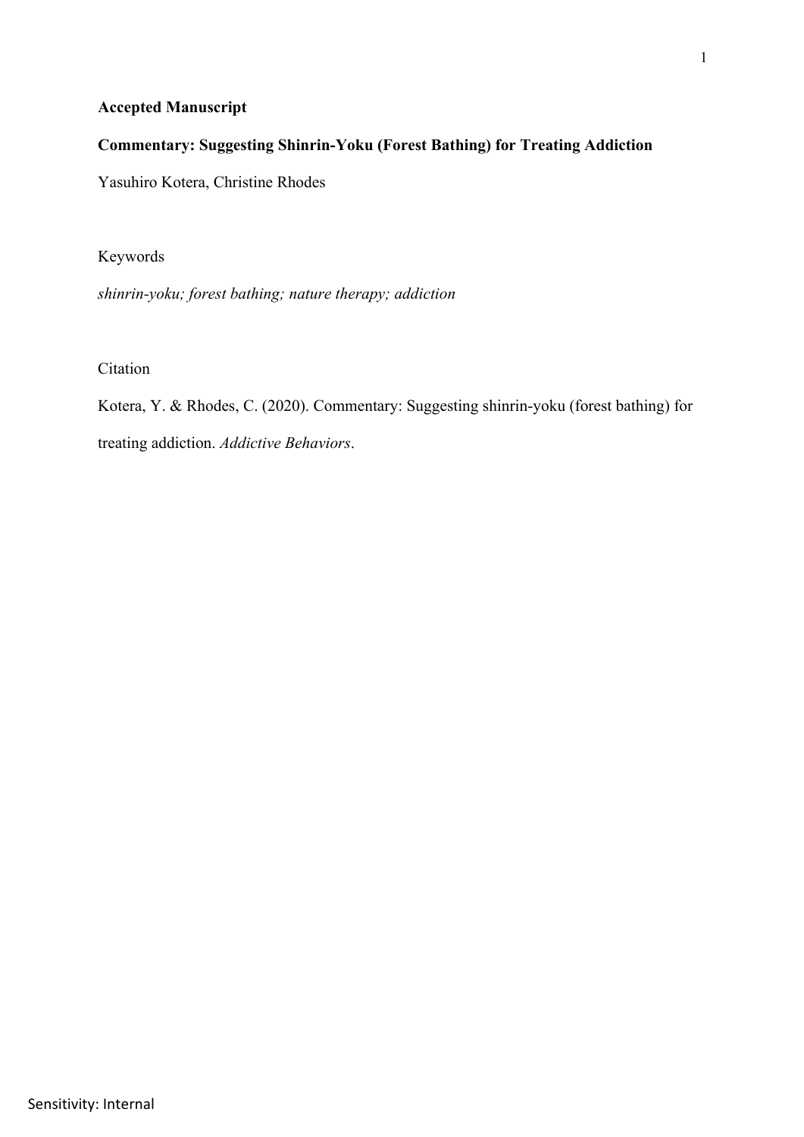# **Accepted Manuscript**

# **Commentary: Suggesting Shinrin-Yoku (Forest Bathing) for Treating Addiction**

Yasuhiro Kotera, Christine Rhodes

Keywords

*shinrin-yoku; forest bathing; nature therapy; addiction*

Citation

Kotera, Y. & Rhodes, C. (2020). Commentary: Suggesting shinrin-yoku (forest bathing) for treating addiction. *Addictive Behaviors*.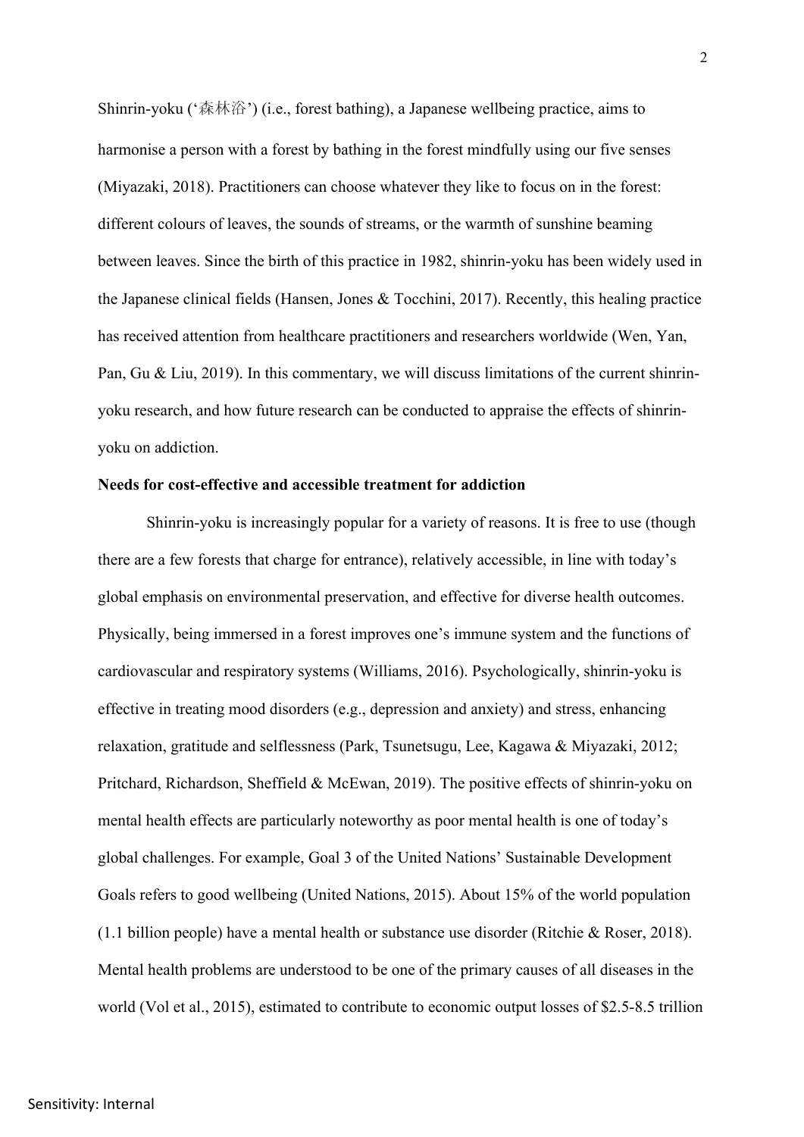Shinrin-yoku ('森林浴') (i.e., forest bathing), a Japanese wellbeing practice, aims to harmonise a person with a forest by bathing in the forest mindfully using our five senses (Miyazaki, 2018). Practitioners can choose whatever they like to focus on in the forest: different colours of leaves, the sounds of streams, or the warmth of sunshine beaming between leaves. Since the birth of this practice in 1982, shinrin-yoku has been widely used in the Japanese clinical fields (Hansen, Jones & Tocchini, 2017). Recently, this healing practice has received attention from healthcare practitioners and researchers worldwide (Wen, Yan, Pan, Gu & Liu, 2019). In this commentary, we will discuss limitations of the current shinrinyoku research, and how future research can be conducted to appraise the effects of shinrinyoku on addiction.

#### **Needs for cost-effective and accessible treatment for addiction**

Shinrin-yoku is increasingly popular for a variety of reasons. It is free to use (though there are a few forests that charge for entrance), relatively accessible, in line with today's global emphasis on environmental preservation, and effective for diverse health outcomes. Physically, being immersed in a forest improves one's immune system and the functions of cardiovascular and respiratory systems (Williams, 2016). Psychologically, shinrin-yoku is effective in treating mood disorders (e.g., depression and anxiety) and stress, enhancing relaxation, gratitude and selflessness (Park, Tsunetsugu, Lee, Kagawa & Miyazaki, 2012; Pritchard, Richardson, Sheffield & McEwan, 2019). The positive effects of shinrin-yoku on mental health effects are particularly noteworthy as poor mental health is one of today's global challenges. For example, Goal 3 of the United Nations' Sustainable Development Goals refers to good wellbeing (United Nations, 2015). About 15% of the world population (1.1 billion people) have a mental health or substance use disorder (Ritchie & Roser, 2018). Mental health problems are understood to be one of the primary causes of all diseases in the world (Vol et al., 2015), estimated to contribute to economic output losses of \$2.5-8.5 trillion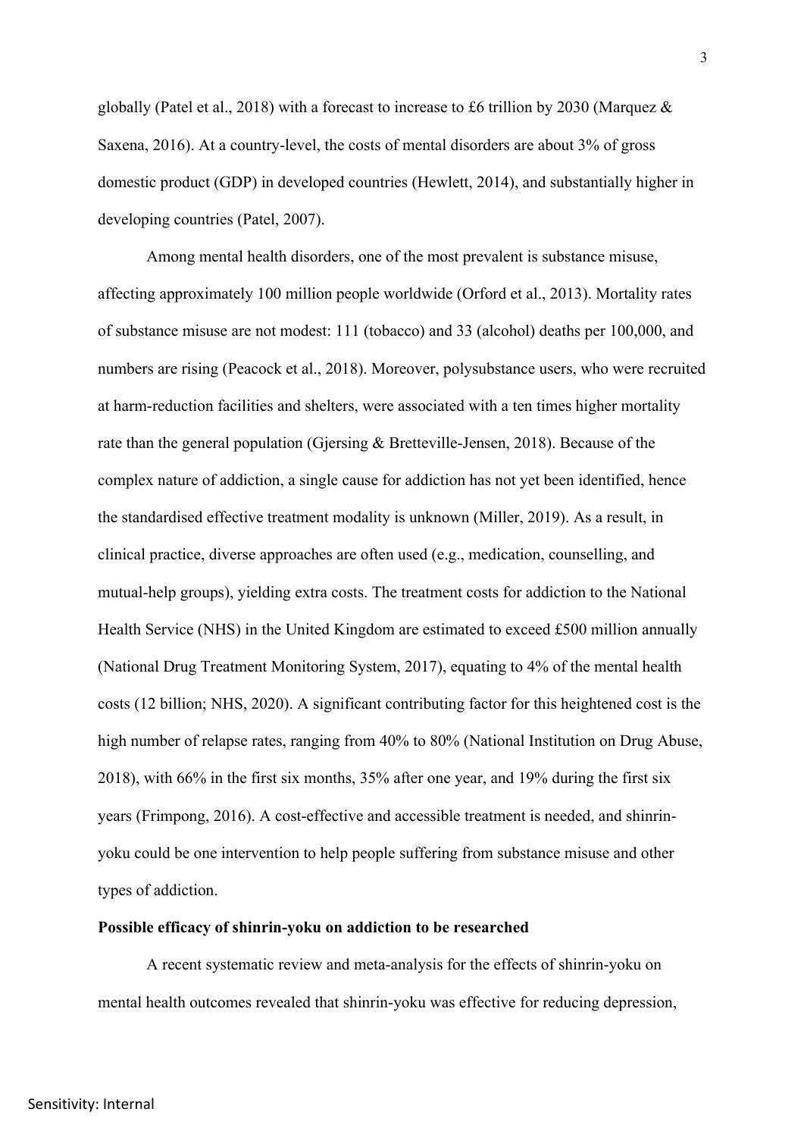globally (Patel et al., 2018) with a forecast to increase to £6 trillion by 2030 (Marquez & Saxena, 2016). At a country-level, the costs of mental disorders are about 3% of gross domestic product (GDP) in developed countries (Hewlett, 2014), and substantially higher in developing countries (Patel, 2007).

Among mental health disorders, one of the most prevalent is substance misuse, affecting approximately 100 million people worldwide (Orford et al., 2013). Mortality rates of substance misuse are not modest: 111 (tobacco) and 33 (alcohol) deaths per 100,000, and numbers are rising (Peacock et al., 2018). Moreover, polysubstance users, who were recruited at harm-reduction facilities and shelters, were associated with a ten times higher mortality rate than the general population (Gjersing & Bretteville-Jensen, 2018). Because of the complex nature of addiction, a single cause for addiction has not yet been identified, hence the standardised effective treatment modality is unknown (Miller, 2019). As a result, in clinical practice, diverse approaches are often used (e.g., medication, counselling, and mutual-help groups), yielding extra costs. The treatment costs for addiction to the National Health Service (NHS) in the United Kingdom are estimated to exceed £500 million annually (National Drug Treatment Monitoring System, 2017), equating to 4% of the mental health costs (12 billion; NHS, 2020). A significant contributing factor for this heightened cost is the high number of relapse rates, ranging from 40% to 80% (National Institution on Drug Abuse, 2018), with 66% in the first six months, 35% after one year, and 19% during the first six years (Frimpong, 2016). A cost-effective and accessible treatment is needed, and shinrinyoku could be one intervention to help people suffering from substance misuse and other types of addiction.

### **Possible efficacy of shinrin-yoku on addiction to be researched**

A recent systematic review and meta-analysis for the effects of shinrin-yoku on mental health outcomes revealed that shinrin-yoku was effective for reducing depression,

Sensitivity: Internal

3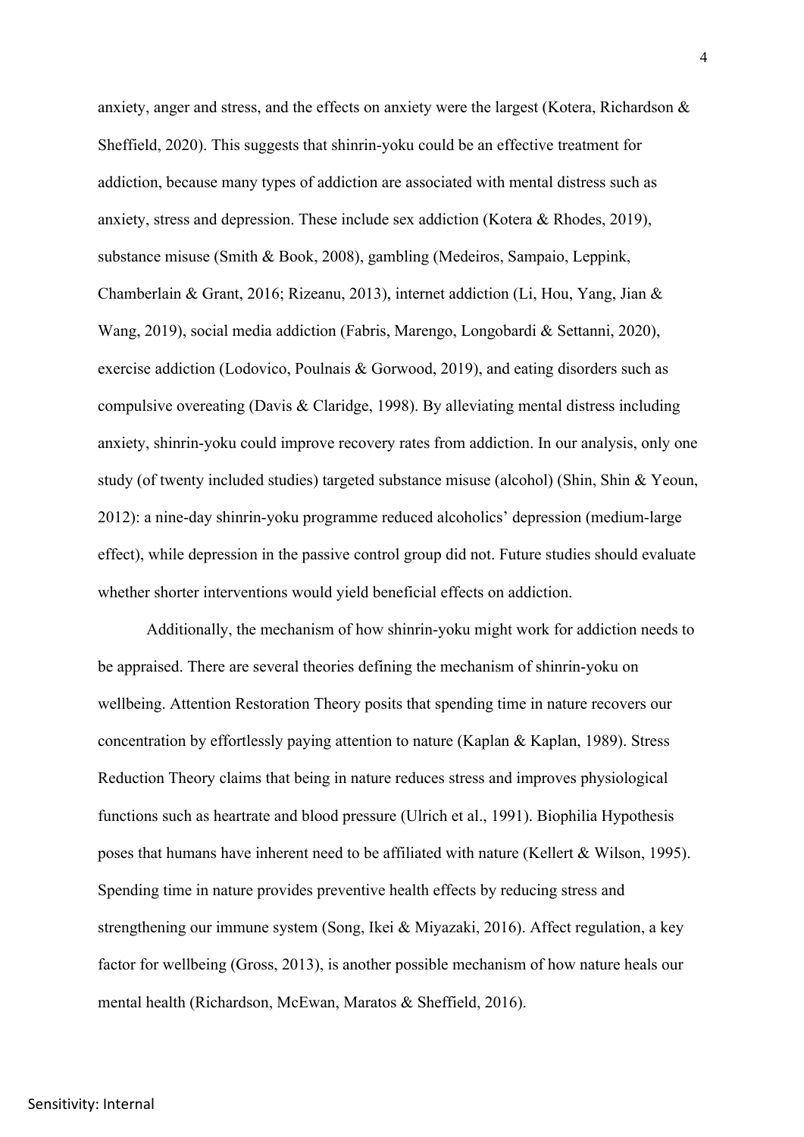anxiety, anger and stress, and the effects on anxiety were the largest (Kotera, Richardson & Sheffield, 2020). This suggests that shinrin-yoku could be an effective treatment for addiction, because many types of addiction are associated with mental distress such as anxiety, stress and depression. These include sex addiction (Kotera & Rhodes, 2019), substance misuse (Smith & Book, 2008), gambling (Medeiros, Sampaio, Leppink, Chamberlain & Grant, 2016; Rizeanu, 2013), internet addiction (Li, Hou, Yang, Jian & Wang, 2019), social media addiction (Fabris, Marengo, Longobardi & Settanni, 2020), exercise addiction (Lodovico, Poulnais & Gorwood, 2019), and eating disorders such as compulsive overeating (Davis & Claridge, 1998). By alleviating mental distress including anxiety, shinrin-yoku could improve recovery rates from addiction. In our analysis, only one study (of twenty included studies) targeted substance misuse (alcohol) (Shin, Shin & Yeoun, 2012): a nine-day shinrin-yoku programme reduced alcoholics' depression (medium-large effect), while depression in the passive control group did not. Future studies should evaluate whether shorter interventions would yield beneficial effects on addiction.

Additionally, the mechanism of how shinrin-yoku might work for addiction needs to be appraised. There are several theories defining the mechanism of shinrin-yoku on wellbeing. Attention Restoration Theory posits that spending time in nature recovers our concentration by effortlessly paying attention to nature (Kaplan & Kaplan, 1989). Stress Reduction Theory claims that being in nature reduces stress and improves physiological functions such as heartrate and blood pressure (Ulrich et al., 1991). Biophilia Hypothesis poses that humans have inherent need to be affiliated with nature (Kellert & Wilson, 1995). Spending time in nature provides preventive health effects by reducing stress and strengthening our immune system (Song, Ikei & Miyazaki, 2016). Affect regulation, a key factor for wellbeing (Gross, 2013), is another possible mechanism of how nature heals our mental health (Richardson, McEwan, Maratos & Sheffield, 2016).

### Sensitivity: Internal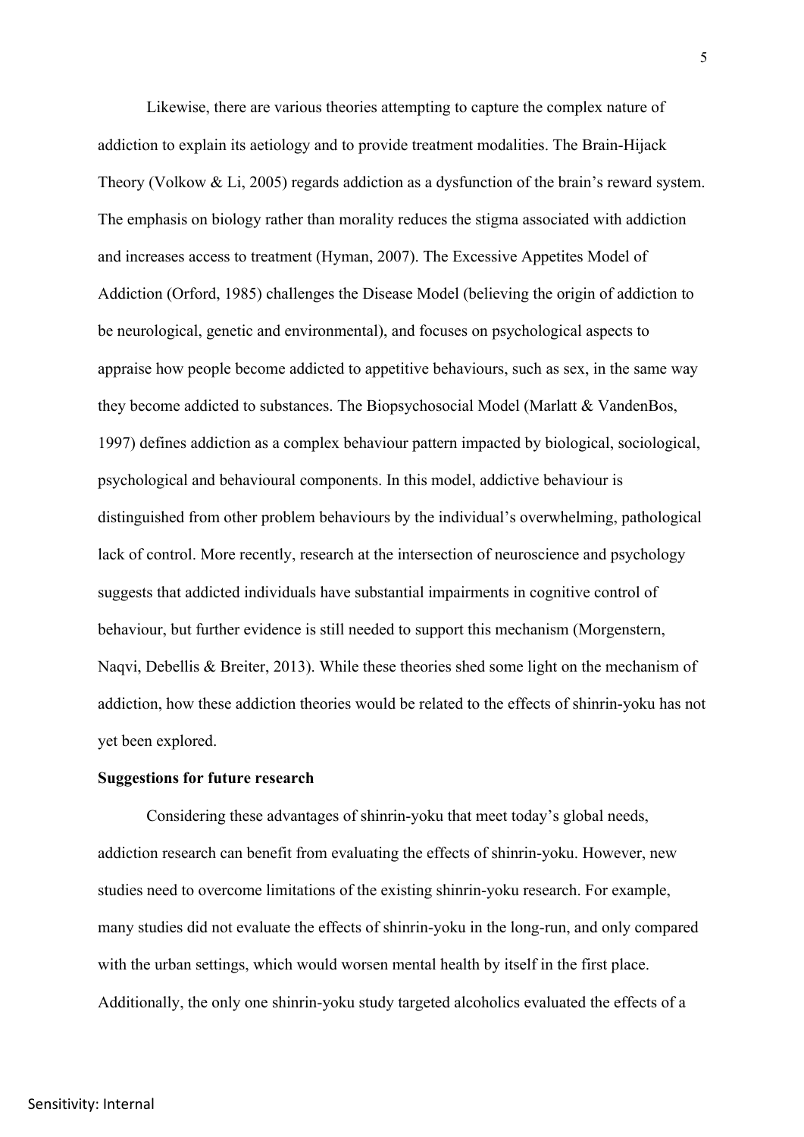Likewise, there are various theories attempting to capture the complex nature of addiction to explain its aetiology and to provide treatment modalities. The Brain-Hijack Theory (Volkow & Li, 2005) regards addiction as a dysfunction of the brain's reward system. The emphasis on biology rather than morality reduces the stigma associated with addiction and increases access to treatment (Hyman, 2007). The Excessive Appetites Model of Addiction (Orford, 1985) challenges the Disease Model (believing the origin of addiction to be neurological, genetic and environmental), and focuses on psychological aspects to appraise how people become addicted to appetitive behaviours, such as sex, in the same way they become addicted to substances. The Biopsychosocial Model (Marlatt & VandenBos, 1997) defines addiction as a complex behaviour pattern impacted by biological, sociological, psychological and behavioural components. In this model, addictive behaviour is distinguished from other problem behaviours by the individual's overwhelming, pathological lack of control. More recently, research at the intersection of neuroscience and psychology suggests that addicted individuals have substantial impairments in cognitive control of behaviour, but further evidence is still needed to support this mechanism (Morgenstern, Naqvi, Debellis & Breiter, 2013). While these theories shed some light on the mechanism of addiction, how these addiction theories would be related to the effects of shinrin-yoku has not yet been explored.

### **Suggestions for future research**

Considering these advantages of shinrin-yoku that meet today's global needs, addiction research can benefit from evaluating the effects of shinrin-yoku. However, new studies need to overcome limitations of the existing shinrin-yoku research. For example, many studies did not evaluate the effects of shinrin-yoku in the long-run, and only compared with the urban settings, which would worsen mental health by itself in the first place. Additionally, the only one shinrin-yoku study targeted alcoholics evaluated the effects of a

## Sensitivity: Internal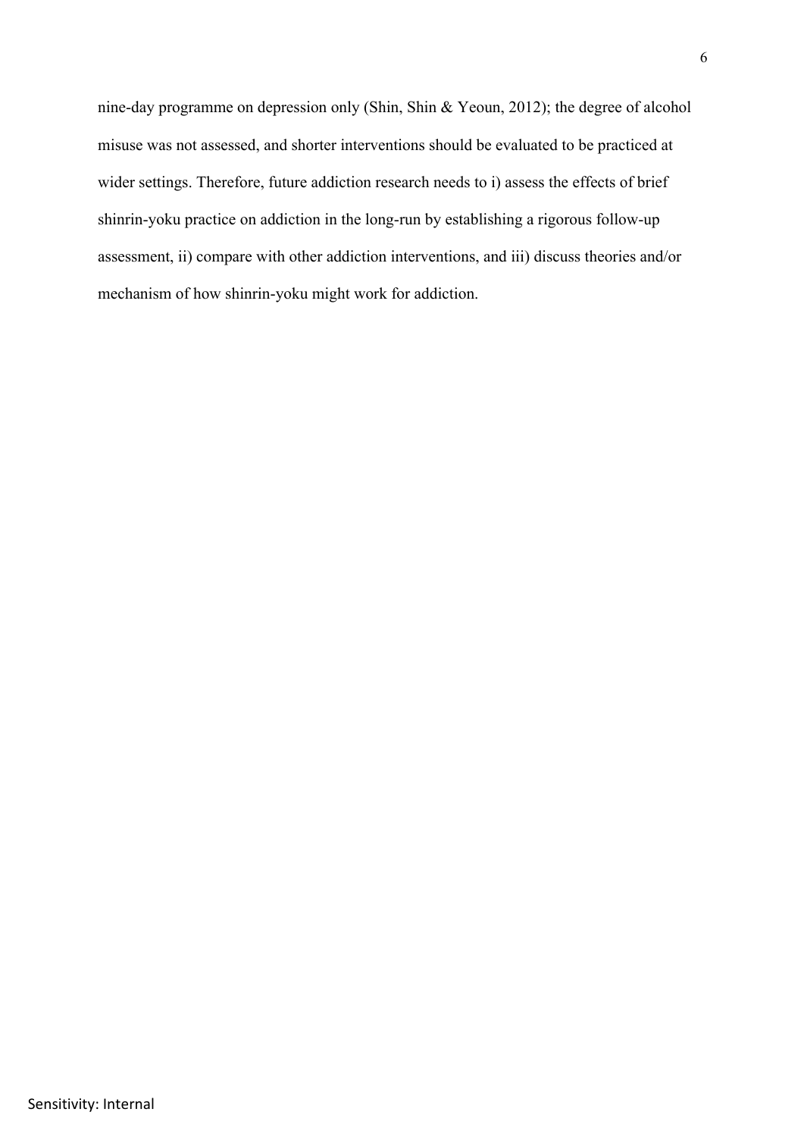nine-day programme on depression only (Shin, Shin & Yeoun, 2012); the degree of alcohol misuse was not assessed, and shorter interventions should be evaluated to be practiced at wider settings. Therefore, future addiction research needs to i) assess the effects of brief shinrin-yoku practice on addiction in the long-run by establishing a rigorous follow-up assessment, ii) compare with other addiction interventions, and iii) discuss theories and/or mechanism of how shinrin-yoku might work for addiction.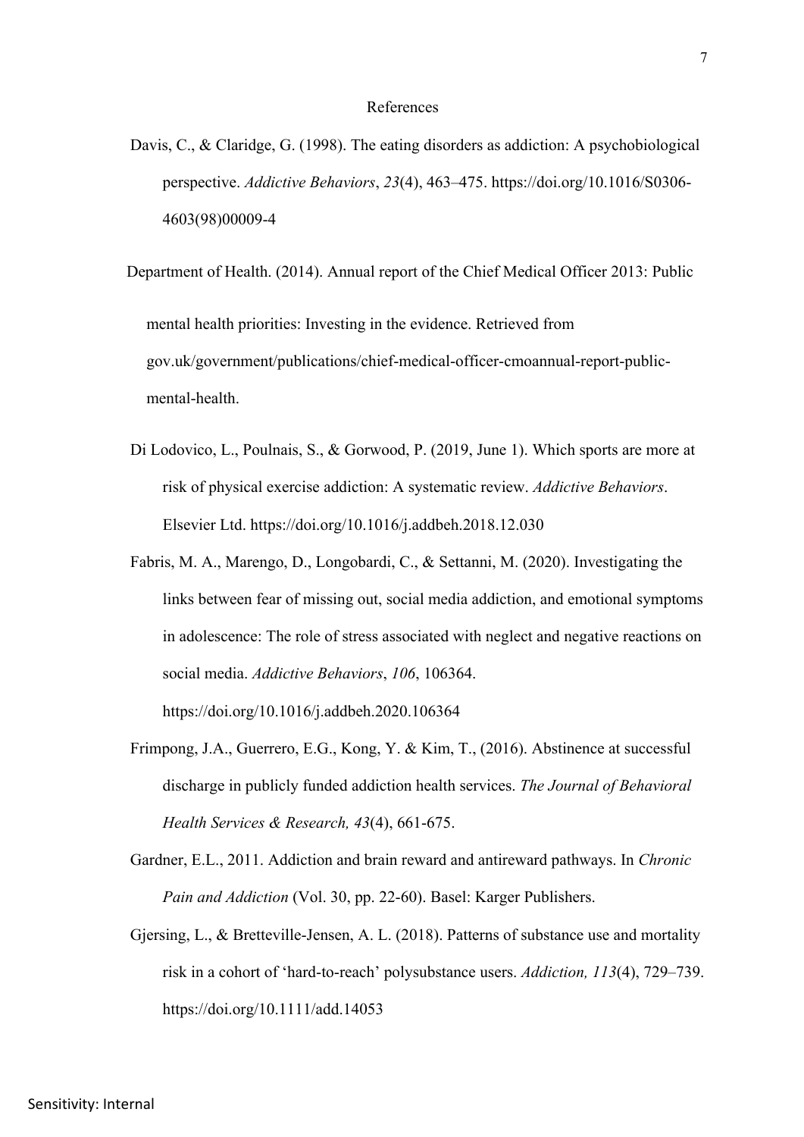#### References

Davis, C., & Claridge, G. (1998). The eating disorders as addiction: A psychobiological perspective. *Addictive Behaviors*, *23*(4), 463–475. https://doi.org/10.1016/S0306- 4603(98)00009-4

Department of Health. (2014). Annual report of the Chief Medical Officer 2013: Public mental health priorities: Investing in the evidence. Retrieved from gov.uk/government/publications/chief-medical-officer-cmoannual-report-publicmental-health.

- Di Lodovico, L., Poulnais, S., & Gorwood, P. (2019, June 1). Which sports are more at risk of physical exercise addiction: A systematic review. *Addictive Behaviors*. Elsevier Ltd. https://doi.org/10.1016/j.addbeh.2018.12.030
- Fabris, M. A., Marengo, D., Longobardi, C., & Settanni, M. (2020). Investigating the links between fear of missing out, social media addiction, and emotional symptoms in adolescence: The role of stress associated with neglect and negative reactions on social media. *Addictive Behaviors*, *106*, 106364.

https://doi.org/10.1016/j.addbeh.2020.106364

- Frimpong, J.A., Guerrero, E.G., Kong, Y. & Kim, T., (2016). Abstinence at successful discharge in publicly funded addiction health services. *The Journal of Behavioral Health Services & Research, 43*(4), 661-675.
- Gardner, E.L., 2011. Addiction and brain reward and antireward pathways. In *Chronic Pain and Addiction* (Vol. 30, pp. 22-60). Basel: Karger Publishers.
- Gjersing, L., & Bretteville-Jensen, A. L. (2018). Patterns of substance use and mortality risk in a cohort of 'hard-to-reach' polysubstance users. *Addiction, 113*(4), 729–739. https://doi.org/10.1111/add.14053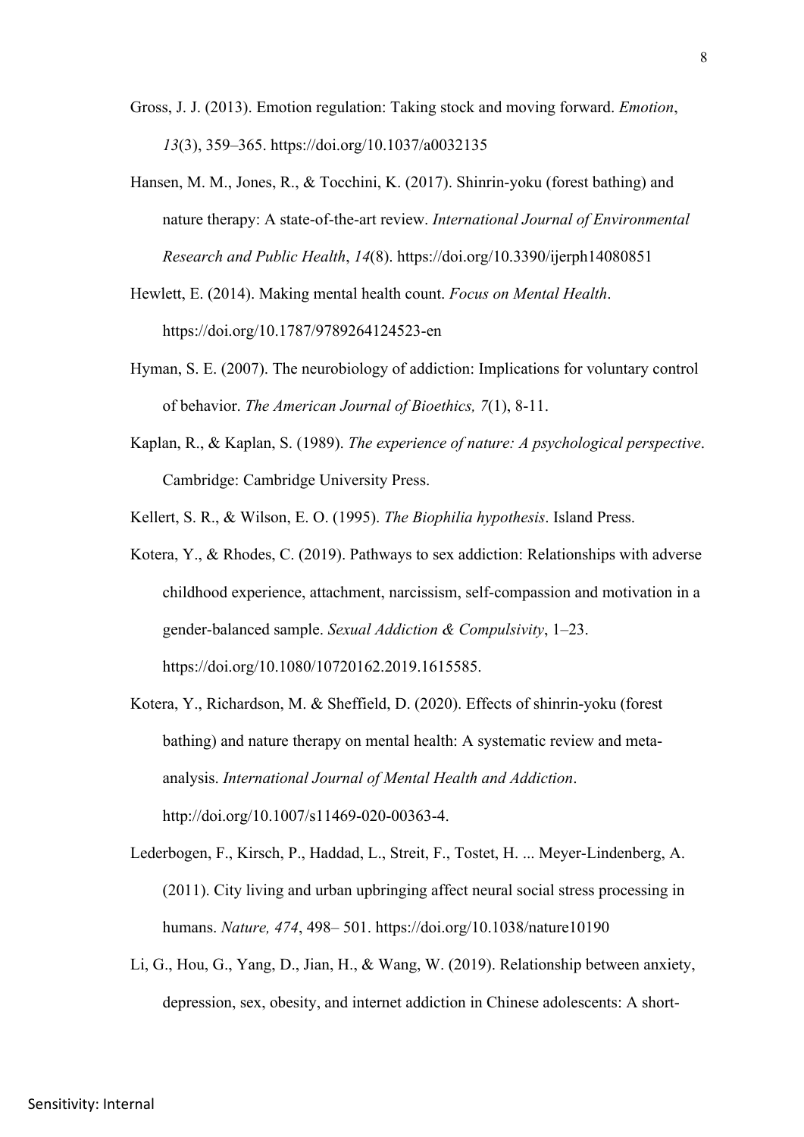- Gross, J. J. (2013). Emotion regulation: Taking stock and moving forward. *Emotion*, *13*(3), 359–365. https://doi.org/10.1037/a0032135
- Hansen, M. M., Jones, R., & Tocchini, K. (2017). Shinrin-yoku (forest bathing) and nature therapy: A state-of-the-art review. *International Journal of Environmental Research and Public Health*, *14*(8). https://doi.org/10.3390/ijerph14080851
- Hewlett, E. (2014). Making mental health count. *Focus on Mental Health*. https://doi.org/10.1787/9789264124523-en
- Hyman, S. E. (2007). The neurobiology of addiction: Implications for voluntary control of behavior. *The American Journal of Bioethics, 7*(1), 8-11.
- Kaplan, R., & Kaplan, S. (1989). *The experience of nature: A psychological perspective*. Cambridge: Cambridge University Press.
- Kellert, S. R., & Wilson, E. O. (1995). *The Biophilia hypothesis*. Island Press.
- Kotera, Y., & Rhodes, C. (2019). Pathways to sex addiction: Relationships with adverse childhood experience, attachment, narcissism, self-compassion and motivation in a gender-balanced sample. *Sexual Addiction & Compulsivity*, 1–23. https://doi.org/10.1080/10720162.2019.1615585.
- Kotera, Y., Richardson, M. & Sheffield, D. (2020). Effects of shinrin-yoku (forest bathing) and nature therapy on mental health: A systematic review and metaanalysis. *International Journal of Mental Health and Addiction*. http://doi.org/10.1007/s11469-020-00363-4.
- Lederbogen, F., Kirsch, P., Haddad, L., Streit, F., Tostet, H. ... Meyer-Lindenberg, A. (2011). City living and urban upbringing affect neural social stress processing in humans. *Nature, 474*, 498– 501. https://doi.org/10.1038/nature10190
- Li, G., Hou, G., Yang, D., Jian, H., & Wang, W. (2019). Relationship between anxiety, depression, sex, obesity, and internet addiction in Chinese adolescents: A short-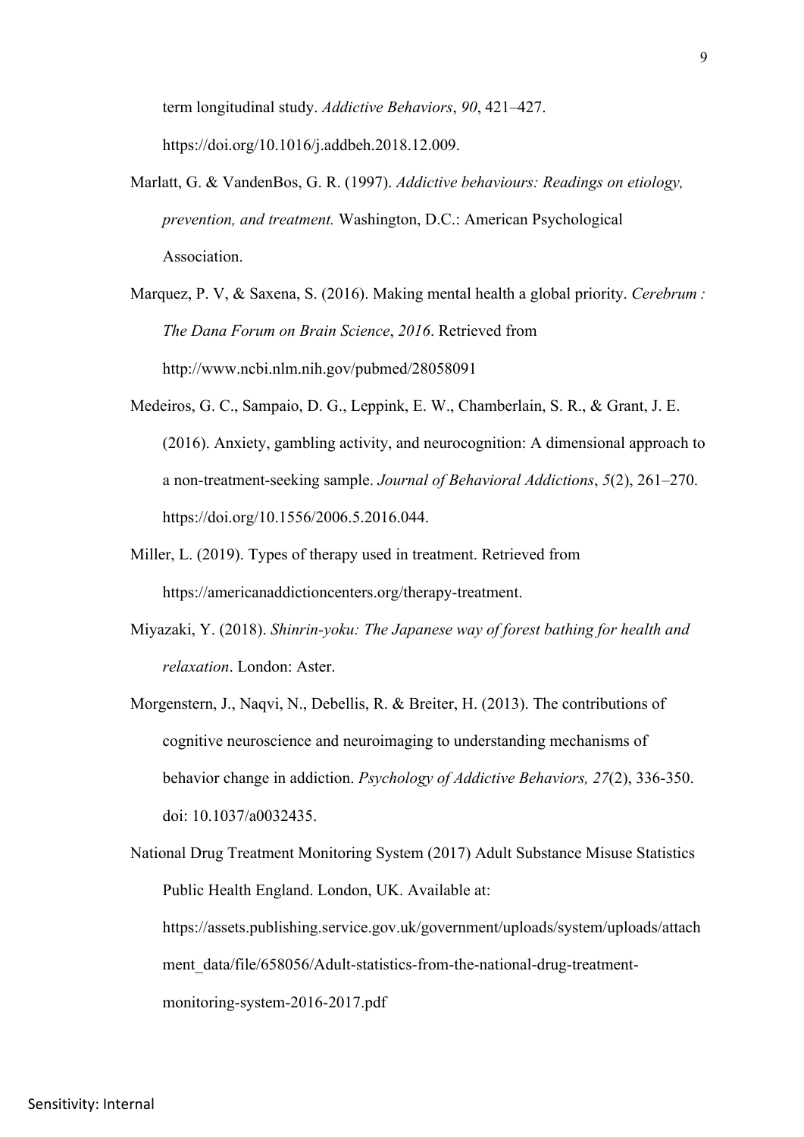term longitudinal study. *Addictive Behaviors*, *90*, 421–427. https://doi.org/10.1016/j.addbeh.2018.12.009.

- Marlatt, G. & VandenBos, G. R. (1997). *Addictive behaviours: Readings on etiology, prevention, and treatment.* Washington, D.C.: American Psychological Association.
- Marquez, P. V, & Saxena, S. (2016). Making mental health a global priority. *Cerebrum : The Dana Forum on Brain Science*, *2016*. Retrieved from http://www.ncbi.nlm.nih.gov/pubmed/28058091
- Medeiros, G. C., Sampaio, D. G., Leppink, E. W., Chamberlain, S. R., & Grant, J. E. (2016). Anxiety, gambling activity, and neurocognition: A dimensional approach to a non-treatment-seeking sample. *Journal of Behavioral Addictions*, *5*(2), 261–270. https://doi.org/10.1556/2006.5.2016.044.
- Miller, L. (2019). Types of therapy used in treatment. Retrieved from https://americanaddictioncenters.org/therapy-treatment.
- Miyazaki, Y. (2018). *Shinrin-yoku: The Japanese way of forest bathing for health and relaxation*. London: Aster.
- Morgenstern, J., Naqvi, N., Debellis, R. & Breiter, H. (2013). The contributions of cognitive neuroscience and neuroimaging to understanding mechanisms of behavior change in addiction. *Psychology of Addictive Behaviors, 27*(2), 336-350. doi: 10.1037/a0032435.

National Drug Treatment Monitoring System (2017) Adult Substance Misuse Statistics Public Health England. London, UK. Available at: https://assets.publishing.service.gov.uk/government/uploads/system/uploads/attach ment\_data/file/658056/Adult-statistics-from-the-national-drug-treatmentmonitoring-system-2016-2017.pdf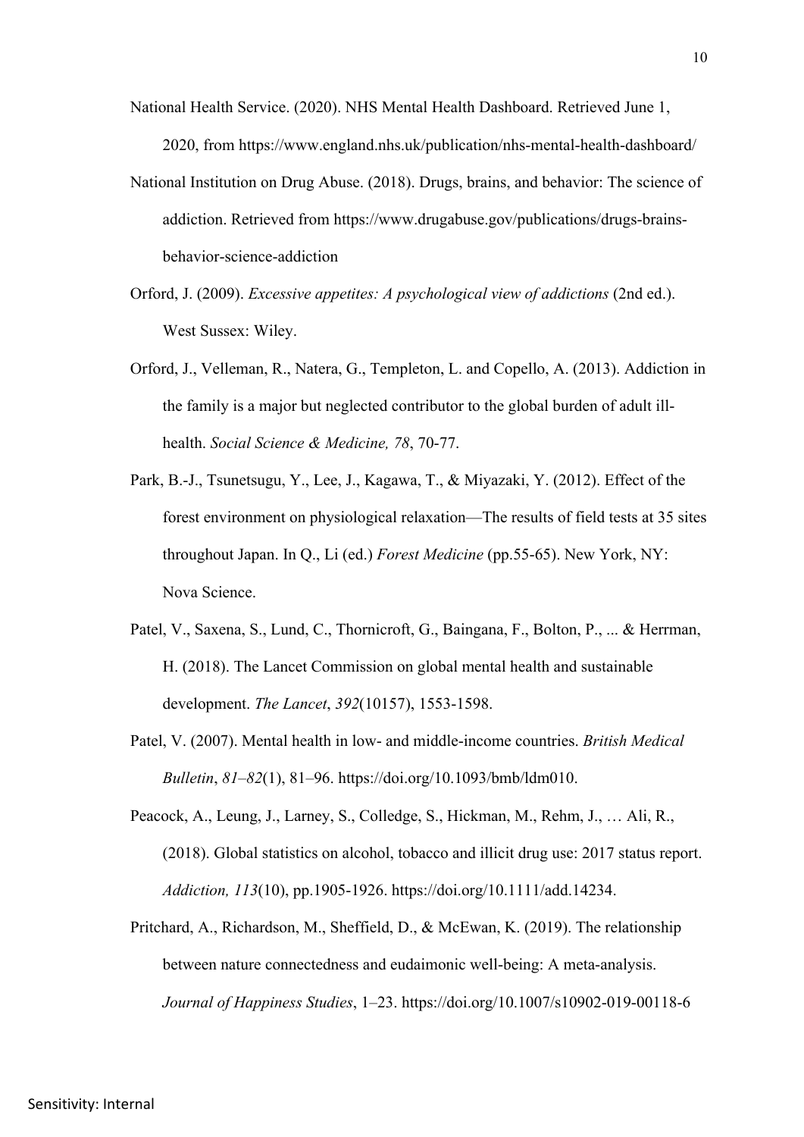- National Health Service. (2020). NHS Mental Health Dashboard. Retrieved June 1, 2020, from https://www.england.nhs.uk/publication/nhs-mental-health-dashboard/
- National Institution on Drug Abuse. (2018). Drugs, brains, and behavior: The science of addiction. Retrieved from https://www.drugabuse.gov/publications/drugs-brainsbehavior-science-addiction
- Orford, J. (2009). *Excessive appetites: A psychological view of addictions* (2nd ed.). West Sussex: Wiley.
- Orford, J., Velleman, R., Natera, G., Templeton, L. and Copello, A. (2013). Addiction in the family is a major but neglected contributor to the global burden of adult illhealth. *Social Science & Medicine, 78*, 70-77.
- Park, B.-J., Tsunetsugu, Y., Lee, J., Kagawa, T., & Miyazaki, Y. (2012). Effect of the forest environment on physiological relaxation—The results of field tests at 35 sites throughout Japan. In Q., Li (ed.) *Forest Medicine* (pp.55-65). New York, NY: Nova Science.
- Patel, V., Saxena, S., Lund, C., Thornicroft, G., Baingana, F., Bolton, P., ... & Herrman, H. (2018). The Lancet Commission on global mental health and sustainable development. *The Lancet*, *392*(10157), 1553-1598.
- Patel, V. (2007). Mental health in low- and middle-income countries. *British Medical Bulletin*, *81*–*82*(1), 81–96. https://doi.org/10.1093/bmb/ldm010.
- Peacock, A., Leung, J., Larney, S., Colledge, S., Hickman, M., Rehm, J., … Ali, R., (2018). Global statistics on alcohol, tobacco and illicit drug use: 2017 status report. *Addiction, 113*(10), pp.1905-1926. https://doi.org/10.1111/add.14234.
- Pritchard, A., Richardson, M., Sheffield, D., & McEwan, K. (2019). The relationship between nature connectedness and eudaimonic well-being: A meta-analysis. *Journal of Happiness Studies*, 1–23. https://doi.org/10.1007/s10902-019-00118-6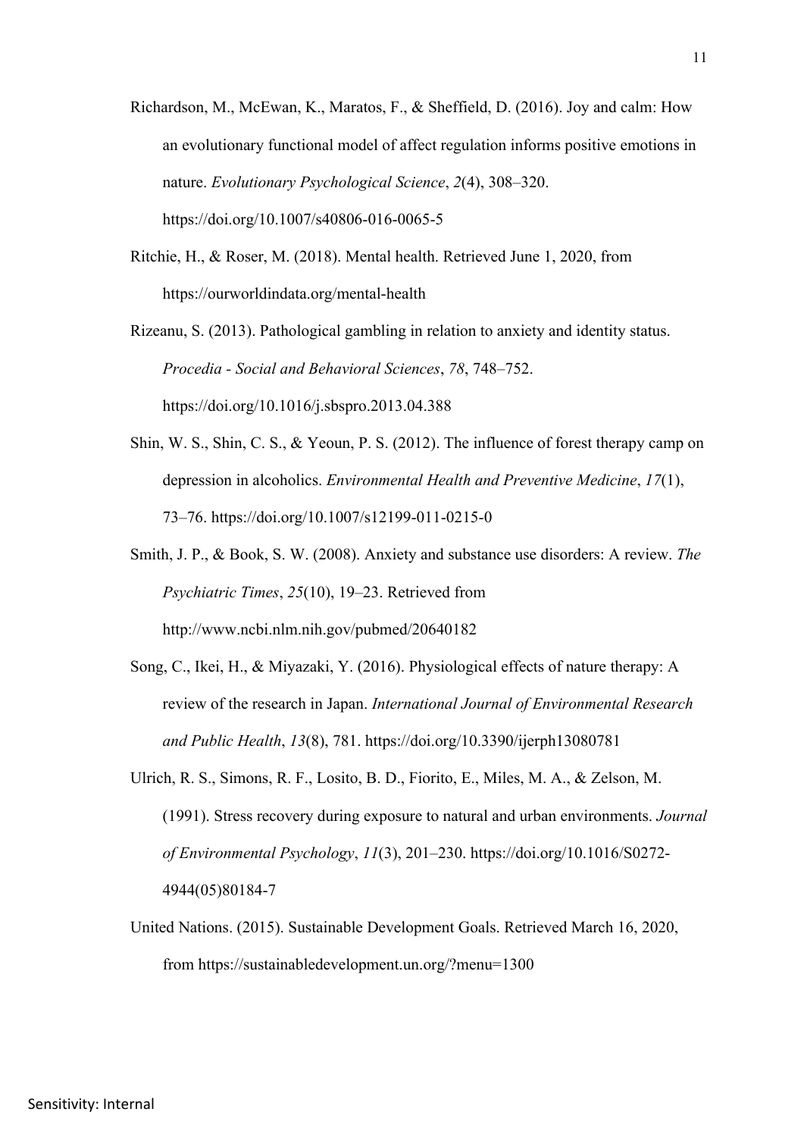Richardson, M., McEwan, K., Maratos, F., & Sheffield, D. (2016). Joy and calm: How an evolutionary functional model of affect regulation informs positive emotions in nature. *Evolutionary Psychological Science*, *2*(4), 308–320. https://doi.org/10.1007/s40806-016-0065-5

Ritchie, H., & Roser, M. (2018). Mental health. Retrieved June 1, 2020, from https://ourworldindata.org/mental-health

Rizeanu, S. (2013). Pathological gambling in relation to anxiety and identity status. *Procedia - Social and Behavioral Sciences*, *78*, 748–752. https://doi.org/10.1016/j.sbspro.2013.04.388

- Shin, W. S., Shin, C. S., & Yeoun, P. S. (2012). The influence of forest therapy camp on depression in alcoholics. *Environmental Health and Preventive Medicine*, *17*(1), 73–76. https://doi.org/10.1007/s12199-011-0215-0
- Smith, J. P., & Book, S. W. (2008). Anxiety and substance use disorders: A review. *The Psychiatric Times*, *25*(10), 19–23. Retrieved from http://www.ncbi.nlm.nih.gov/pubmed/20640182
- Song, C., Ikei, H., & Miyazaki, Y. (2016). Physiological effects of nature therapy: A review of the research in Japan. *International Journal of Environmental Research and Public Health*, *13*(8), 781. https://doi.org/10.3390/ijerph13080781
- Ulrich, R. S., Simons, R. F., Losito, B. D., Fiorito, E., Miles, M. A., & Zelson, M. (1991). Stress recovery during exposure to natural and urban environments. *Journal of Environmental Psychology*, *11*(3), 201–230. https://doi.org/10.1016/S0272- 4944(05)80184-7
- United Nations. (2015). Sustainable Development Goals. Retrieved March 16, 2020, from https://sustainabledevelopment.un.org/?menu=1300

11